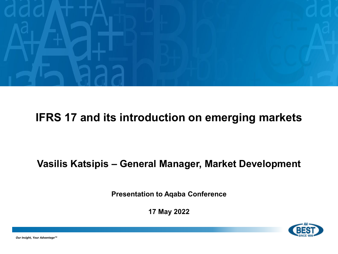

#### **IFRS 17 and its introduction on emerging markets**

#### **Vasilis Katsipis – General Manager, Market Development**

**Presentation to Aqaba Conference**

**17 May 2022**

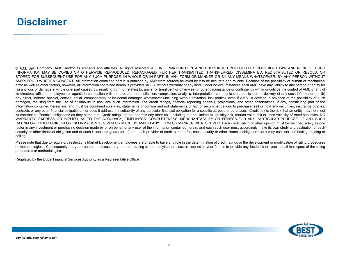© A.M. Best Company (AMB) and/or its licensors and affiliates. All rights reserved. ALL INFORMATION CONTAINED HEREIN IS PROTECTED BY COPYRIGHT LAW AND NONE OF SUCH INFORMATION MAY BE COPIED OR OTHERWISE REPRODUCED, REPACKAGED, FURTHER TRANSMITTED, TRANSFERRED, DISSEMINATED, REDISTRIBUTED OR RESOLD, OR STORED FOR SUBSEQUENT USE FOR ANY SUCH PURPOSE. IN WHOLE OR IN PART, IN ANY FORM OR MANNER OR BY ANY MEANS WHATSOEVER. BY ANY PERSON WITHOUT AMB's PRIOR WRITTEN CONSENT. All information contained herein is obtained by AMB from sources believed by it to be accurate and reliable. Because of the possibility of human or mechanical error as well as other factors, however, all information contained herein is provided "AS IS" without warranty of any kind. Under no circumstances shall AMB have any liability to any person or entity for (a) any loss or damage in whole or in part caused by, resulting from, or relating to, any error (negligent or otherwise) or other circumstance or contingency within or outside the control of AMB or any of its directors, officers, employees or agents in connection with the procurement, collection, compilation, analysis, interpretation, communication, publication or delivery of any such information, or (b) any direct, indirect, special, consequential, compensatory or incidental damages whatsoever (including without limitation, lost profits), even if AMB is advised in advance of the possibility of such damages, resulting from the use of or inability to use, any such information. The credit ratings, financial reporting analysis, projections, and other observations, if any, constituting part of the information contained herein are, and must be construed solely as, statements of opinion and not statements of fact or recommendations to purchase, sell or hold any securities, insurance policies, contracts or any other financial obligations, nor does it address the suitability of any particular financial obligation for a specific purpose or purchaser. Credit risk is the risk that an entity may not meet its contractual, financial obligations as they come due. Credit ratings do not address any other risk, including but not limited to, liquidity risk, market value risk or price volatility of rated securities. NO WARRANTY, EXPRESS OR IMPLIED, AS TO THE ACCURACY, TIMELINESS, COMPLETENESS, MERCHANTABILITY OR FITNESS FOR ANY PARTICULAR PURPOSE OF ANY SUCH RATING OR OTHER OPINION OR INFORMATION IS GIVEN OR MADE BY AMB IN ANY FORM OR MANNER WHATSOEVER. Each credit rating or other opinion must be weighed solely as one factor in any investment or purchasing decision made by or on behalf of any user of the information contained herein, and each such user must accordingly make its own study and evaluation of each security or other financial obligation and of each issuer and guarantor of, and each provider of credit support for, each security or other financial obligation that it may consider purchasing, holding or selling.

Please note that due to regulatory restrictions Market Development employees are unable to have any role in the determination of credit ratings or the development or modification of rating procedures or methodologies. Consequently, they are unable to discuss any matters relating to the analytical process as applied to your firm or to provide any feedback on your behalf in respect of the rating procedures or methodologies.

Regulated by the Dubai Financial Services Authority as a Representative Office.

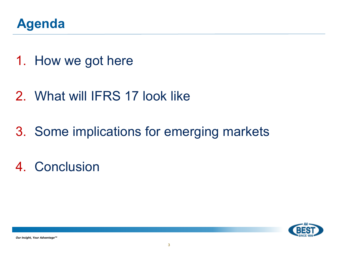

- 1. How we got here
- 2. What will IFRS 17 look like
- 3. Some implications for emerging markets
- 4. Conclusion

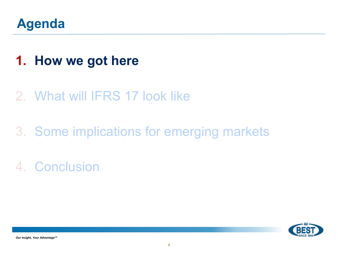

## **1. How we got here**

### 2. What will IFRS 17 look like

# 3. Some implications for emerging markets

4. Conclusion

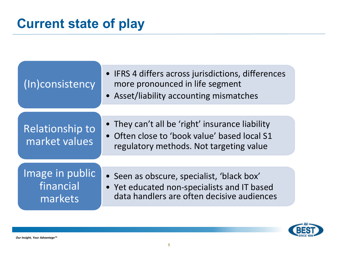| (In)consistency                         | • IFRS 4 differs across jurisdictions, differences<br>more pronounced in life segment<br>• Asset/liability accounting mismatches           |  |  |
|-----------------------------------------|--------------------------------------------------------------------------------------------------------------------------------------------|--|--|
|                                         |                                                                                                                                            |  |  |
| Relationship to<br>market values        | • They can't all be 'right' insurance liability<br>• Often close to 'book value' based local S1<br>regulatory methods. Not targeting value |  |  |
|                                         |                                                                                                                                            |  |  |
| Image in public<br>financial<br>markets | • Seen as obscure, specialist, 'black box'<br>• Yet educated non-specialists and IT based<br>data handlers are often decisive audiences    |  |  |

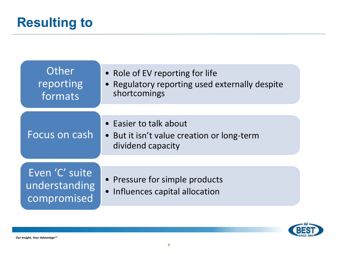| Other<br>reporting<br>formats                  | • Role of EV reporting for life<br>• Regulatory reporting used externally despite<br>shortcomings |  |  |
|------------------------------------------------|---------------------------------------------------------------------------------------------------|--|--|
| Focus on cash                                  | • Easier to talk about<br>• But it isn't value creation or long-term                              |  |  |
|                                                | dividend capacity                                                                                 |  |  |
| Even 'C' suite<br>understanding<br>compromised | • Pressure for simple products<br>• Influences capital allocation                                 |  |  |

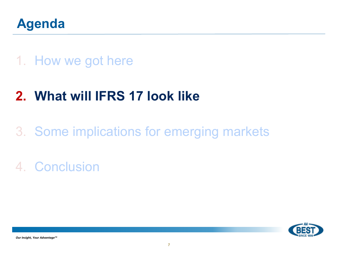

### 1. How we got here

# **2. What will IFRS 17 look like**

# 3. Some implications for emerging markets

# 4. Conclusion

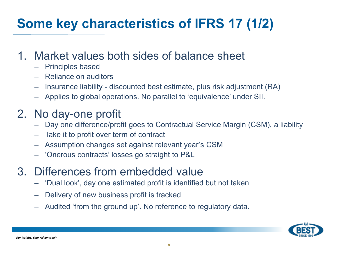# **Some key characteristics of IFRS 17 (1/2)**

#### 1. Market values both sides of balance sheet

- Principles based
- Reliance on auditors
- Insurance liability discounted best estimate, plus risk adjustment (RA)
- Applies to global operations. No parallel to 'equivalence' under SII.

#### 2. No day-one profit

- Day one difference/profit goes to Contractual Service Margin (CSM), a liability
- Take it to profit over term of contract
- Assumption changes set against relevant year's CSM
- 'Onerous contracts' losses go straight to P&L
- 3. Differences from embedded value
	- 'Dual look', day one estimated profit is identified but not taken
	- Delivery of new business profit is tracked
	- Audited 'from the ground up'. No reference to regulatory data.

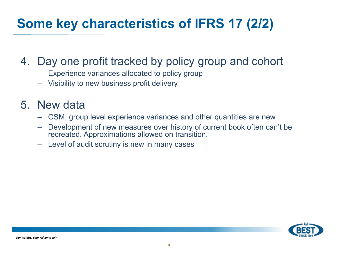# **Some key characteristics of IFRS 17 (2/2)**

#### 4. Day one profit tracked by policy group and cohort

- Experience variances allocated to policy group
- Visibility to new business profit delivery

#### 5. New data

- CSM, group level experience variances and other quantities are new
- Development of new measures over history of current book often can't be recreated. Approximations allowed on transition.
- Level of audit scrutiny is new in many cases

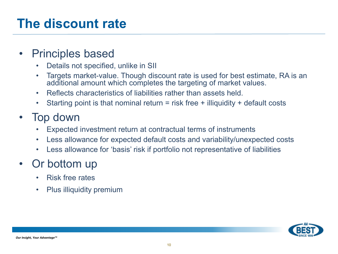### **The discount rate**

#### • Principles based

- Details not specified, unlike in SII
- Targets market-value. Though discount rate is used for best estimate, RA is an additional amount which completes the targeting of market values.
- Reflects characteristics of liabilities rather than assets held.
- Starting point is that nominal return = risk free + illiquidity + default costs

#### • Top down

- Expected investment return at contractual terms of instruments
- Less allowance for expected default costs and variability/unexpected costs
- Less allowance for 'basis' risk if portfolio not representative of liabilities

#### • Or bottom up

- Risk free rates
- Plus illiquidity premium

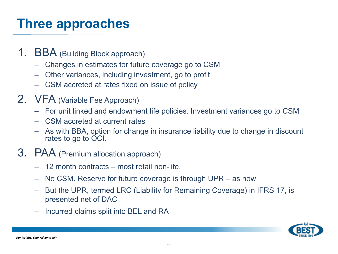## **Three approaches**

- 1. BBA (Building Block approach)
	- Changes in estimates for future coverage go to CSM
	- Other variances, including investment, go to profit
	- CSM accreted at rates fixed on issue of policy
- 2. VFA (Variable Fee Approach)
	- For unit linked and endowment life policies. Investment variances go to CSM
	- CSM accreted at current rates
	- As with BBA, option for change in insurance liability due to change in discount rates to go to OCI.
- 3. PAA (Premium allocation approach)
	- 12 month contracts most retail non-life.
	- No CSM. Reserve for future coverage is through UPR as now
	- But the UPR, termed LRC (Liability for Remaining Coverage) in IFRS 17, is presented net of DAC
	- Incurred claims split into BEL and RA

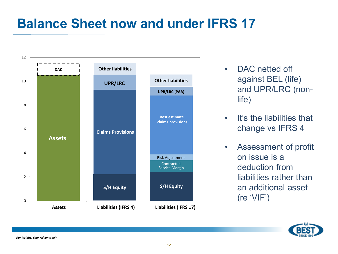### **Balance Sheet now and under IFRS 17**



- DAC netted off against BEL (life) and UPR/LRC (nonlife)
- It's the liabilities that change vs IFRS 4
- Assessment of profit on issue is a deduction from liabilities rather than an additional asset (re 'VIF')

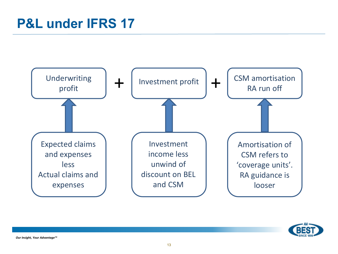

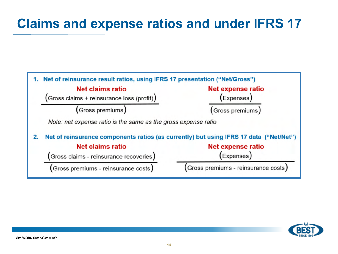## **Claims and expense ratios and under IFRS 17**



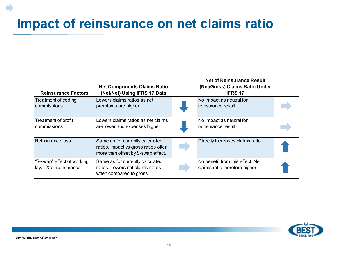# **Impact of reinsurance on net claims ratio**

| <b>Reinsurance Factors</b>                           | <b>Net Components Claims Ratio</b><br>(Net/Net) Using IFRS 17 Data                                              | <b>Net of Reinsurance Result</b><br>(Net/Gross) Claims Ratio Under<br><b>IFRS 17</b> |  |
|------------------------------------------------------|-----------------------------------------------------------------------------------------------------------------|--------------------------------------------------------------------------------------|--|
| Treatment of ceding<br>commissions                   | Lowers claims ratios as net<br>premiums are higher                                                              | No impact as neutral for<br>reinsurance result                                       |  |
| Treatment of profit<br>commissions                   | Lowers claims ratios as net claims<br>are lower and expenses higher                                             | No impact as neutral for<br>reinsurance result                                       |  |
| Reinsurance loss                                     | Same as for currently calculated<br>ratios. Impact vs gross ratios often<br>more than offset by \$-swap effect. | Directly increases claims ratio                                                      |  |
| "\$-swap" effect of working<br>layer XoL reinsurance | Same as for currently calculated<br>ratios. Lowers net claims ratios<br>when compared to gross.                 | No benefit from this effect. Net<br>claims ratio therefore higher                    |  |

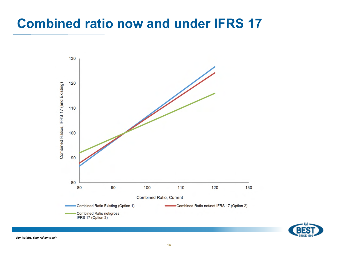### **Combined ratio now and under IFRS 17**



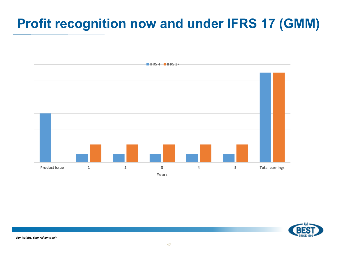# **Profit recognition now and under IFRS 17 (GMM)**



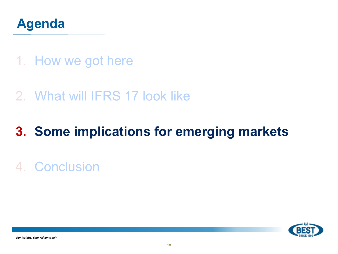

### 1. How we got here

### 2. What will IFRS 17 look like

# **3. Some implications for emerging markets**

# 4. Conclusion

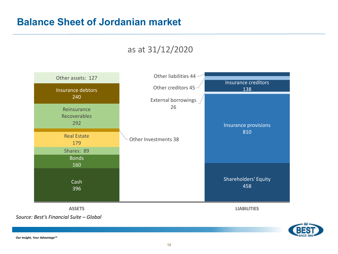#### **Balance Sheet of Jordanian market**

#### as at 31/12/2020



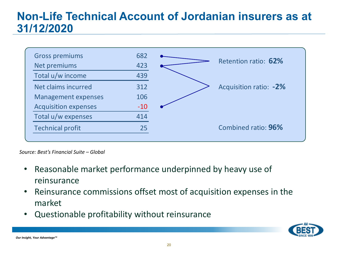#### **Non-Life Technical Account of Jordanian insurers as at 31/12/2020**



*Source: Best's Financial Suite – Global* 

- Reasonable market performance underpinned by heavy use of reinsurance
- Reinsurance commissions offset most of acquisition expenses in the market
- Questionable profitability without reinsurance

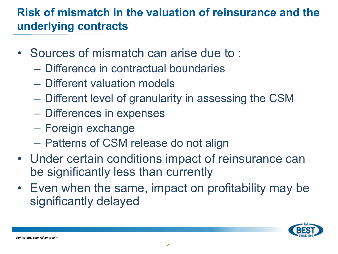#### **Risk of mismatch in the valuation of reinsurance and the underlying contracts**

- Sources of mismatch can arise due to :
	- Difference in contractual boundaries
	- Different valuation models
	- Different level of granularity in assessing the CSM
	- Differences in expenses
	- Foreign exchange
	- Patterns of CSM release do not align
- Under certain conditions impact of reinsurance can be significantly less than currently
- Even when the same, impact on profitability may be significantly delayed

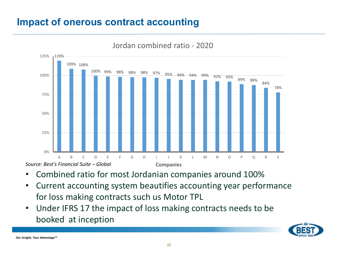#### **Impact of onerous contract accounting**



#### Jordan combined ratio - 2020

- Combined ratio for most Jordanian companies around 100%
- Current accounting system beautifies accounting year performance for loss making contracts such us Motor TPL
- Under IFRS 17 the impact of loss making contracts needs to be booked at inception

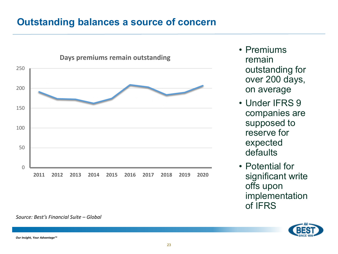#### **Outstanding balances a source of concern**



#### *Source: Best's Financial Suite – Global*

• Premiums remain outstanding for over 200 days, on average

- Under IFRS 9 companies are supposed to reserve for expected defaults
- Potential for significant write offs upon implementation of IFRS



*Our Insight, Your Advantage™*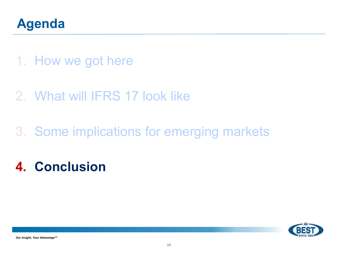

- 1. How we got here
- 2. What will IFRS 17 look like
- 3. Some implications for emerging markets
- **4. Conclusion**

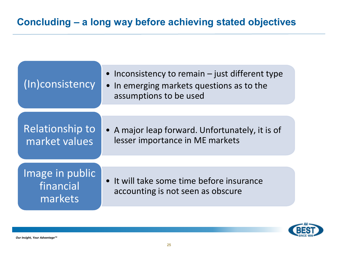| (In)consistency                         | • Inconsistency to remain $-$ just different type<br>• In emerging markets questions as to the<br>assumptions to be used |  |  |
|-----------------------------------------|--------------------------------------------------------------------------------------------------------------------------|--|--|
|                                         |                                                                                                                          |  |  |
| Relationship to<br>market values        | • A major leap forward. Unfortunately, it is of<br>lesser importance in ME markets                                       |  |  |
|                                         |                                                                                                                          |  |  |
| Image in public<br>financial<br>markets | • It will take some time before insurance<br>accounting is not seen as obscure                                           |  |  |

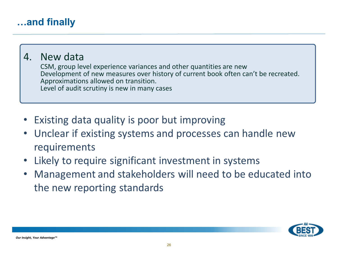#### **…and finally**

#### 4. New data

CSM, group level experience variances and other quantities are new Development of new measures over history of current book often can't be recreated. Approximations allowed on transition. Level of audit scrutiny is new in many cases

- Existing data quality is poor but improving
- Unclear if existing systems and processes can handle new requirements
- Likely to require significant investment in systems  $\bullet$
- Management and stakeholders will need to be educated into the new reporting standards